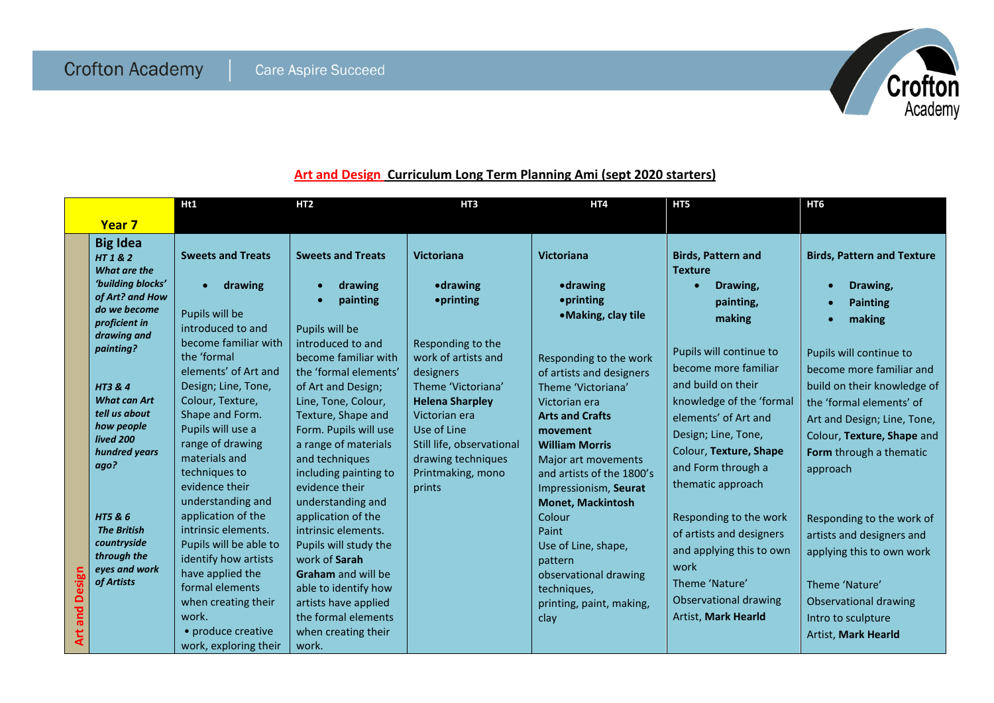

|                   |                                                                                                                                               | Ht1                                                                                                                                                                                                               | HT <sub>2</sub>                                                                                                                                                                                                             | HT <sub>3</sub>                                                                                                                                                             | HT4                                                                                                                                                                                                                                     | HT5                                                                                                                                                                                        | HT6                                                                                                                                                                                     |
|-------------------|-----------------------------------------------------------------------------------------------------------------------------------------------|-------------------------------------------------------------------------------------------------------------------------------------------------------------------------------------------------------------------|-----------------------------------------------------------------------------------------------------------------------------------------------------------------------------------------------------------------------------|-----------------------------------------------------------------------------------------------------------------------------------------------------------------------------|-----------------------------------------------------------------------------------------------------------------------------------------------------------------------------------------------------------------------------------------|--------------------------------------------------------------------------------------------------------------------------------------------------------------------------------------------|-----------------------------------------------------------------------------------------------------------------------------------------------------------------------------------------|
|                   | <b>Year 7</b>                                                                                                                                 |                                                                                                                                                                                                                   |                                                                                                                                                                                                                             |                                                                                                                                                                             |                                                                                                                                                                                                                                         |                                                                                                                                                                                            |                                                                                                                                                                                         |
|                   | <b>Big Idea</b><br>HT182<br>What are the<br>'building blocks'<br>of Art? and How<br>do we become<br>proficient in<br>drawing and<br>painting? | <b>Sweets and Treats</b><br>drawing<br>$\bullet$<br>Pupils will be<br>introduced to and<br>become familiar with<br>the 'formal                                                                                    | <b>Sweets and Treats</b><br>drawing<br>$\bullet$<br>painting<br>Pupils will be<br>introduced to and<br>become familiar with                                                                                                 | <b>Victoriana</b><br><b>• drawing</b><br>• printing<br>Responding to the<br>work of artists and                                                                             | <b>Victoriana</b><br>• drawing<br><b>•printing</b><br>• Making, clay tile<br>Responding to the work                                                                                                                                     | <b>Birds, Pattern and</b><br><b>Texture</b><br>Drawing,<br>$\bullet$<br>painting,<br>making<br>Pupils will continue to                                                                     | <b>Birds, Pattern and Texture</b><br>Drawing,<br><b>Painting</b><br>making<br>Pupils will continue to                                                                                   |
|                   | HT3 & 4<br><b>What can Art</b><br>tell us about<br>how people<br>lived 200<br>hundred years<br>ago?                                           | elements' of Art and<br>Design; Line, Tone,<br>Colour, Texture,<br>Shape and Form.<br>Pupils will use a<br>range of drawing<br>materials and<br>techniques to<br>evidence their<br>understanding and              | the 'formal elements'<br>of Art and Design;<br>Line, Tone, Colour,<br>Texture, Shape and<br>Form. Pupils will use<br>a range of materials<br>and techniques<br>including painting to<br>evidence their<br>understanding and | designers<br>Theme 'Victoriana'<br><b>Helena Sharpley</b><br>Victorian era<br>Use of Line<br>Still life, observational<br>drawing techniques<br>Printmaking, mono<br>prints | of artists and designers<br>Theme 'Victoriana'<br>Victorian era<br><b>Arts and Crafts</b><br>movement<br><b>William Morris</b><br>Major art movements<br>and artists of the 1800's<br>Impressionism, Seurat<br><b>Monet, Mackintosh</b> | become more familiar<br>and build on their<br>knowledge of the 'formal<br>elements' of Art and<br>Design; Line, Tone,<br>Colour, Texture, Shape<br>and Form through a<br>thematic approach | become more familiar and<br>build on their knowledge of<br>the 'formal elements' of<br>Art and Design; Line, Tone,<br>Colour, Texture, Shape and<br>Form through a thematic<br>approach |
| and Design<br>Art | HT5 & 6<br><b>The British</b><br>countryside<br>through the<br>eyes and work<br>of Artists                                                    | application of the<br>intrinsic elements.<br>Pupils will be able to<br>identify how artists<br>have applied the<br>formal elements<br>when creating their<br>work.<br>• produce creative<br>work, exploring their | application of the<br>intrinsic elements.<br>Pupils will study the<br>work of Sarah<br><b>Graham</b> and will be<br>able to identify how<br>artists have applied<br>the formal elements<br>when creating their<br>work.     |                                                                                                                                                                             | Colour<br>Paint<br>Use of Line, shape,<br>pattern<br>observational drawing<br>techniques,<br>printing, paint, making,<br>clay                                                                                                           | Responding to the work<br>of artists and designers<br>and applying this to own<br>work<br>Theme 'Nature'<br>Observational drawing<br>Artist, Mark Hearld                                   | Responding to the work of<br>artists and designers and<br>applying this to own work<br>Theme 'Nature'<br><b>Observational drawing</b><br>Intro to sculpture<br>Artist, Mark Hearld      |

## **Art and Design Curriculum Long Term Planning Ami (sept 2020 starters)**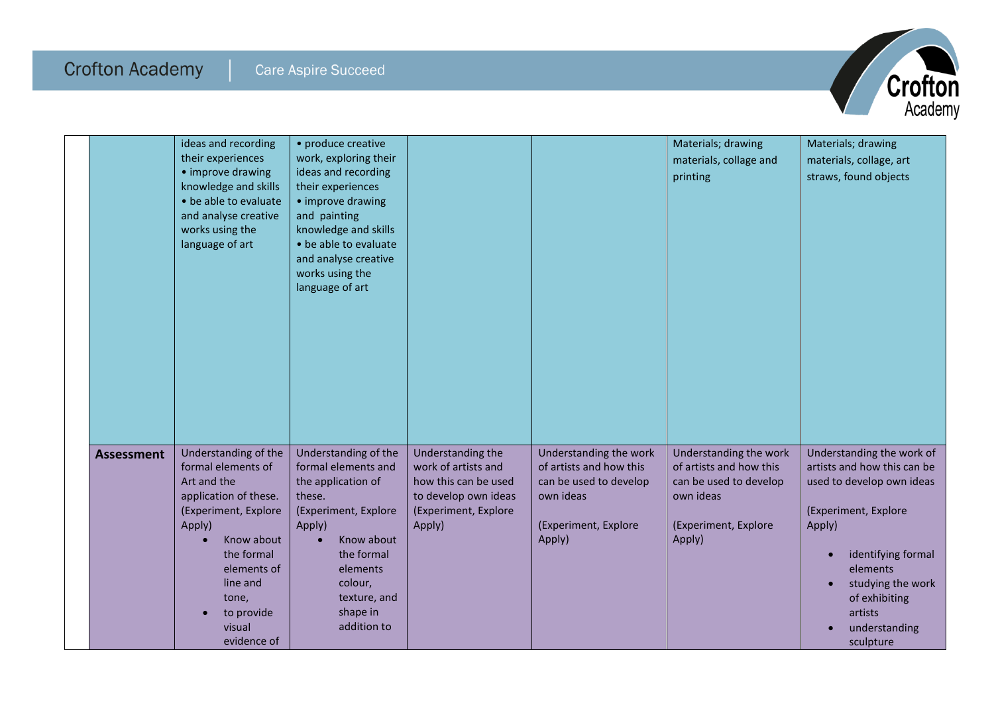

|                   | ideas and recording<br>their experiences<br>• improve drawing<br>knowledge and skills<br>• be able to evaluate<br>and analyse creative<br>works using the<br>language of art                                                | • produce creative<br>work, exploring their<br>ideas and recording<br>their experiences<br>• improve drawing<br>and painting<br>knowledge and skills<br>• be able to evaluate<br>and analyse creative<br>works using the<br>language of art |                                                                                                                            |                                                                                                                            | Materials; drawing<br>materials, collage and<br>printing                                                                   | Materials; drawing<br>materials, collage, art<br>straws, found objects                                                                                                                                                                   |
|-------------------|-----------------------------------------------------------------------------------------------------------------------------------------------------------------------------------------------------------------------------|---------------------------------------------------------------------------------------------------------------------------------------------------------------------------------------------------------------------------------------------|----------------------------------------------------------------------------------------------------------------------------|----------------------------------------------------------------------------------------------------------------------------|----------------------------------------------------------------------------------------------------------------------------|------------------------------------------------------------------------------------------------------------------------------------------------------------------------------------------------------------------------------------------|
| <b>Assessment</b> | Understanding of the<br>formal elements of<br>Art and the<br>application of these.<br>(Experiment, Explore<br>Apply)<br>Know about<br>the formal<br>elements of<br>line and<br>tone,<br>to provide<br>visual<br>evidence of | Understanding of the<br>formal elements and<br>the application of<br>these.<br>(Experiment, Explore<br>Apply)<br>Know about<br>the formal<br>elements<br>colour,<br>texture, and<br>shape in<br>addition to                                 | Understanding the<br>work of artists and<br>how this can be used<br>to develop own ideas<br>(Experiment, Explore<br>Apply) | Understanding the work<br>of artists and how this<br>can be used to develop<br>own ideas<br>(Experiment, Explore<br>Apply) | Understanding the work<br>of artists and how this<br>can be used to develop<br>own ideas<br>(Experiment, Explore<br>Apply) | Understanding the work of<br>artists and how this can be<br>used to develop own ideas<br>(Experiment, Explore<br>Apply)<br>identifying formal<br>elements<br>studying the work<br>of exhibiting<br>artists<br>understanding<br>sculpture |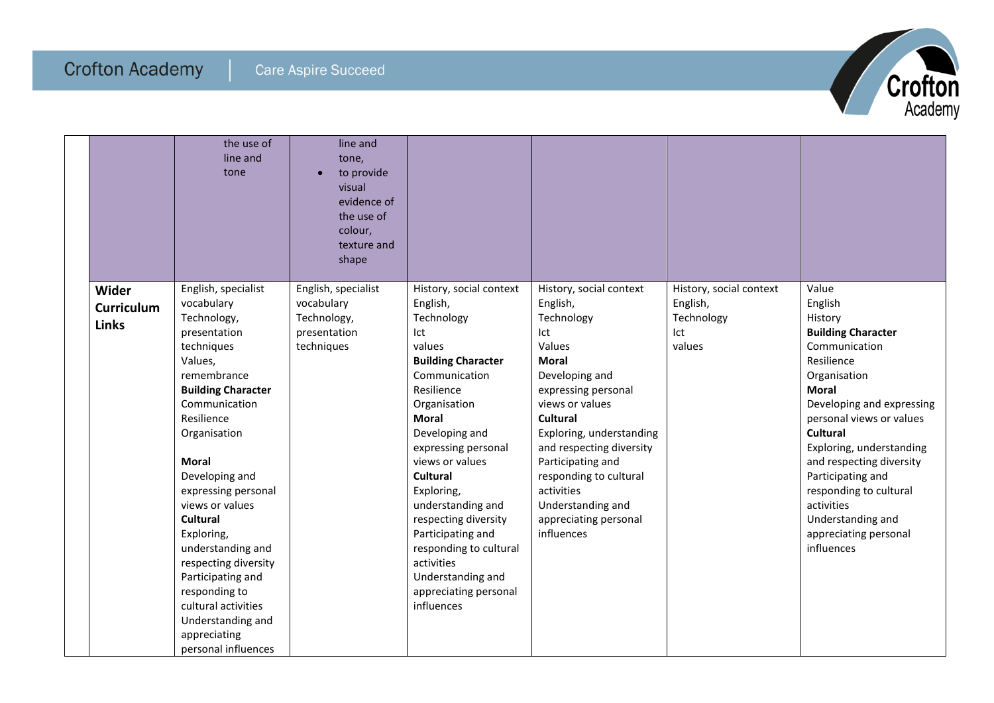## **Crofton Academy**



|                   | the use of<br>line and<br>tone | line and<br>tone,<br>to provide<br>visual<br>evidence of<br>the use of<br>colour,<br>texture and<br>shape |                                        |                                                      |                         |                                      |
|-------------------|--------------------------------|-----------------------------------------------------------------------------------------------------------|----------------------------------------|------------------------------------------------------|-------------------------|--------------------------------------|
| Wider             | English, specialist            | English, specialist                                                                                       | History, social context                | History, social context                              | History, social context | Value                                |
| <b>Curriculum</b> | vocabulary                     | vocabulary                                                                                                | English,                               | English,                                             | English,                | English                              |
| <b>Links</b>      | Technology,                    | Technology,                                                                                               | Technology                             | Technology                                           | Technology              | History                              |
|                   | presentation                   | presentation                                                                                              | lct                                    | lct                                                  | Ict                     | <b>Building Character</b>            |
|                   | techniques                     | techniques                                                                                                | values                                 | Values                                               | values                  | Communication                        |
|                   | Values,                        |                                                                                                           | <b>Building Character</b>              | <b>Moral</b>                                         |                         | Resilience                           |
|                   | remembrance                    |                                                                                                           | Communication                          | Developing and                                       |                         | Organisation                         |
|                   | <b>Building Character</b>      |                                                                                                           | Resilience                             | expressing personal                                  |                         | <b>Moral</b>                         |
|                   | Communication                  |                                                                                                           | Organisation                           | views or values                                      |                         | Developing and expressing            |
|                   | Resilience                     |                                                                                                           | <b>Moral</b>                           | <b>Cultural</b>                                      |                         | personal views or values             |
|                   | Organisation                   |                                                                                                           | Developing and                         | Exploring, understanding<br>and respecting diversity |                         | Cultural<br>Exploring, understanding |
|                   | <b>Moral</b>                   |                                                                                                           | expressing personal<br>views or values | Participating and                                    |                         | and respecting diversity             |
|                   | Developing and                 |                                                                                                           | <b>Cultural</b>                        | responding to cultural                               |                         | Participating and                    |
|                   | expressing personal            |                                                                                                           | Exploring,                             | activities                                           |                         | responding to cultural               |
|                   | views or values                |                                                                                                           | understanding and                      | Understanding and                                    |                         | activities                           |
|                   | <b>Cultural</b>                |                                                                                                           | respecting diversity                   | appreciating personal                                |                         | Understanding and                    |
|                   | Exploring,                     |                                                                                                           | Participating and                      | influences                                           |                         | appreciating personal                |
|                   | understanding and              |                                                                                                           | responding to cultural                 |                                                      |                         | influences                           |
|                   | respecting diversity           |                                                                                                           | activities                             |                                                      |                         |                                      |
|                   | Participating and              |                                                                                                           | Understanding and                      |                                                      |                         |                                      |
|                   | responding to                  |                                                                                                           | appreciating personal                  |                                                      |                         |                                      |
|                   | cultural activities            |                                                                                                           | influences                             |                                                      |                         |                                      |
|                   | Understanding and              |                                                                                                           |                                        |                                                      |                         |                                      |
|                   | appreciating                   |                                                                                                           |                                        |                                                      |                         |                                      |
|                   | personal influences            |                                                                                                           |                                        |                                                      |                         |                                      |